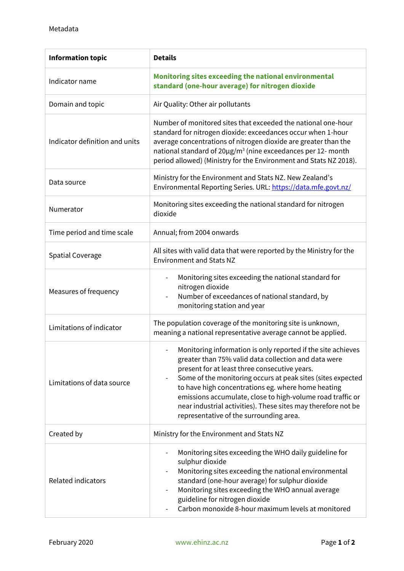| <b>Information topic</b>       | <b>Details</b>                                                                                                                                                                                                                                                                                                                                                                                                                                                       |
|--------------------------------|----------------------------------------------------------------------------------------------------------------------------------------------------------------------------------------------------------------------------------------------------------------------------------------------------------------------------------------------------------------------------------------------------------------------------------------------------------------------|
| Indicator name                 | Monitoring sites exceeding the national environmental<br>standard (one-hour average) for nitrogen dioxide                                                                                                                                                                                                                                                                                                                                                            |
| Domain and topic               | Air Quality: Other air pollutants                                                                                                                                                                                                                                                                                                                                                                                                                                    |
| Indicator definition and units | Number of monitored sites that exceeded the national one-hour<br>standard for nitrogen dioxide: exceedances occur when 1-hour<br>average concentrations of nitrogen dioxide are greater than the<br>national standard of 20µg/m <sup>3</sup> (nine exceedances per 12- month<br>period allowed) (Ministry for the Environment and Stats NZ 2018).                                                                                                                    |
| Data source                    | Ministry for the Environment and Stats NZ. New Zealand's<br>Environmental Reporting Series. URL: https://data.mfe.govt.nz/                                                                                                                                                                                                                                                                                                                                           |
| Numerator                      | Monitoring sites exceeding the national standard for nitrogen<br>dioxide                                                                                                                                                                                                                                                                                                                                                                                             |
| Time period and time scale     | Annual; from 2004 onwards                                                                                                                                                                                                                                                                                                                                                                                                                                            |
| <b>Spatial Coverage</b>        | All sites with valid data that were reported by the Ministry for the<br><b>Environment and Stats NZ</b>                                                                                                                                                                                                                                                                                                                                                              |
| Measures of frequency          | Monitoring sites exceeding the national standard for<br>nitrogen dioxide<br>Number of exceedances of national standard, by<br>monitoring station and year                                                                                                                                                                                                                                                                                                            |
| Limitations of indicator       | The population coverage of the monitoring site is unknown,<br>meaning a national representative average cannot be applied.                                                                                                                                                                                                                                                                                                                                           |
| Limitations of data source     | Monitoring information is only reported if the site achieves<br>greater than 75% valid data collection and data were<br>present for at least three consecutive years.<br>Some of the monitoring occurs at peak sites (sites expected<br>to have high concentrations eg. where home heating<br>emissions accumulate, close to high-volume road traffic or<br>near industrial activities). These sites may therefore not be<br>representative of the surrounding area. |
| Created by                     | Ministry for the Environment and Stats NZ                                                                                                                                                                                                                                                                                                                                                                                                                            |
| <b>Related indicators</b>      | Monitoring sites exceeding the WHO daily guideline for<br>sulphur dioxide<br>Monitoring sites exceeding the national environmental<br>standard (one-hour average) for sulphur dioxide<br>Monitoring sites exceeding the WHO annual average<br>guideline for nitrogen dioxide<br>Carbon monoxide 8-hour maximum levels at monitored                                                                                                                                   |